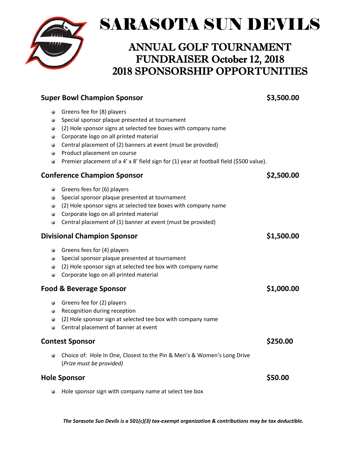

## SARASOTA SUN DEVILS

## ANNUAL GOLF TOURNAMENT FUNDRAISER October 12, 2018 2018 SPONSORSHIP OPPORTUNITIES

|                                    | <b>Super Bowl Champion Sponsor</b>                                                                                                                                                                                                                                                                                                                                                 | \$3,500.00 |
|------------------------------------|------------------------------------------------------------------------------------------------------------------------------------------------------------------------------------------------------------------------------------------------------------------------------------------------------------------------------------------------------------------------------------|------------|
| w<br>۳<br>⋓<br>ø<br>w<br>ø<br>Ø    | Greens fee for (8) players<br>Special sponsor plaque presented at tournament<br>(2) Hole sponsor signs at selected tee boxes with company name<br>Corporate logo on all printed material<br>Central placement of (2) banners at event (must be provided)<br>Product placement on course<br>Premier placement of a 4' x 8' field sign for (1) year at football field (\$500 value). |            |
| <b>Conference Champion Sponsor</b> | \$2,500.00                                                                                                                                                                                                                                                                                                                                                                         |            |
| Ø<br>ø<br>⋓<br>⋓<br>ø              | Greens fees for (6) players<br>Special sponsor plaque presented at tournament<br>(2) Hole sponsor signs at selected tee boxes with company name<br>Corporate logo on all printed material<br>Central placement of (1) banner at event (must be provided)                                                                                                                           |            |
| <b>Divisional Champion Sponsor</b> |                                                                                                                                                                                                                                                                                                                                                                                    | \$1,500.00 |
| Ø<br>۳<br>ø<br>۳                   | Greens fees for (4) players<br>Special sponsor plaque presented at tournament<br>(2) Hole sponsor sign at selected tee box with company name<br>Corporate logo on all printed material                                                                                                                                                                                             |            |
| <b>Food &amp; Beverage Sponsor</b> |                                                                                                                                                                                                                                                                                                                                                                                    | \$1,000.00 |
| ⋓<br>۳<br>Ø<br><b>Septe</b>        | Greens fee for (2) players<br>Recognition during reception<br>(2) Hole sponsor sign at selected tee box with company name<br>Central placement of banner at event                                                                                                                                                                                                                  |            |
| <b>Contest Sponsor</b>             |                                                                                                                                                                                                                                                                                                                                                                                    | \$250.00   |
|                                    | Choice of: Hole In One, Closest to the Pin & Men's & Women's Long Drive<br>(Prize must be provided)                                                                                                                                                                                                                                                                                |            |
| \$50.00<br><b>Hole Sponsor</b>     |                                                                                                                                                                                                                                                                                                                                                                                    |            |
|                                    | Hole sponsor sign with company name at select tee box                                                                                                                                                                                                                                                                                                                              |            |